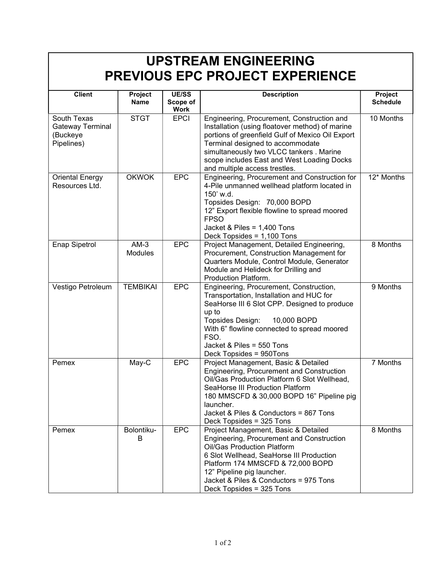## UPSTREAM ENGINEERING PREVIOUS EPC PROJECT EXPERIENCE

| <b>Client</b>          | Project         | <b>UE/SS</b>            | <b>Description</b>                                                                     | Project               |
|------------------------|-----------------|-------------------------|----------------------------------------------------------------------------------------|-----------------------|
|                        | <b>Name</b>     | Scope of<br><b>Work</b> |                                                                                        | <b>Schedule</b>       |
| South Texas            | <b>STGT</b>     | <b>EPCI</b>             | Engineering, Procurement, Construction and                                             | 10 Months             |
| Gateway Terminal       |                 |                         | Installation (using floatover method) of marine                                        |                       |
| (Buckeye               |                 |                         | portions of greenfield Gulf of Mexico Oil Export                                       |                       |
| Pipelines)             |                 |                         | Terminal designed to accommodate                                                       |                       |
|                        |                 |                         | simultaneously two VLCC tankers . Marine                                               |                       |
|                        |                 |                         | scope includes East and West Loading Docks                                             |                       |
|                        |                 |                         | and multiple access trestles.                                                          |                       |
| <b>Oriental Energy</b> | <b>OKWOK</b>    | <b>EPC</b>              | Engineering, Procurement and Construction for                                          | $12*$ Months          |
| Resources Ltd.         |                 |                         | 4-Pile unmanned wellhead platform located in                                           |                       |
|                        |                 |                         | 150' w.d.                                                                              |                       |
|                        |                 |                         | Topsides Design: 70,000 BOPD                                                           |                       |
|                        |                 |                         | 12" Export flexible flowline to spread moored                                          |                       |
|                        |                 |                         | <b>FPSO</b>                                                                            |                       |
|                        |                 |                         | Jacket & Piles = $1,400$ Tons                                                          |                       |
|                        | $AM-3$          | <b>EPC</b>              | Deck Topsides = 1,100 Tons                                                             |                       |
| <b>Enap Sipetrol</b>   |                 |                         | Project Management, Detailed Engineering,                                              | 8 Months              |
|                        | Modules         |                         | Procurement, Construction Management for<br>Quarters Module, Control Module, Generator |                       |
|                        |                 |                         | Module and Helideck for Drilling and                                                   |                       |
|                        |                 |                         | Production Platform.                                                                   |                       |
| Vestigo Petroleum      | <b>TEMBIKAI</b> | <b>EPC</b>              | Engineering, Procurement, Construction,                                                | $\overline{9}$ Months |
|                        |                 |                         | Transportation, Installation and HUC for                                               |                       |
|                        |                 |                         | SeaHorse III 6 Slot CPP. Designed to produce                                           |                       |
|                        |                 |                         | up to                                                                                  |                       |
|                        |                 |                         | Topsides Design:<br>10,000 BOPD                                                        |                       |
|                        |                 |                         | With 6" flowline connected to spread moored                                            |                       |
|                        |                 |                         | FSO.                                                                                   |                       |
|                        |                 |                         | Jacket & Piles = 550 Tons                                                              |                       |
|                        |                 |                         | Deck Topsides = 950Tons                                                                |                       |
| Pemex                  | May-C           | <b>EPC</b>              | Project Management, Basic & Detailed                                                   | 7 Months              |
|                        |                 |                         | Engineering, Procurement and Construction                                              |                       |
|                        |                 |                         | Oil/Gas Production Platform 6 Slot Wellhead,                                           |                       |
|                        |                 |                         | SeaHorse III Production Platform                                                       |                       |
|                        |                 |                         | 180 MMSCFD & 30,000 BOPD 16" Pipeline pig                                              |                       |
|                        |                 |                         | launcher.                                                                              |                       |
|                        |                 |                         | Jacket & Piles & Conductors = 867 Tons                                                 |                       |
|                        |                 |                         | Deck Topsides = 325 Tons                                                               |                       |
| Pemex                  | Bolontiku-      | <b>EPC</b>              | Project Management, Basic & Detailed                                                   | 8 Months              |
|                        | B               |                         | Engineering, Procurement and Construction<br>Oil/Gas Production Platform               |                       |
|                        |                 |                         | 6 Slot Wellhead, SeaHorse III Production                                               |                       |
|                        |                 |                         | Platform 174 MMSCFD & 72,000 BOPD                                                      |                       |
|                        |                 |                         | 12" Pipeline pig launcher.                                                             |                       |
|                        |                 |                         | Jacket & Piles & Conductors = 975 Tons                                                 |                       |
|                        |                 |                         | Deck Topsides = 325 Tons                                                               |                       |